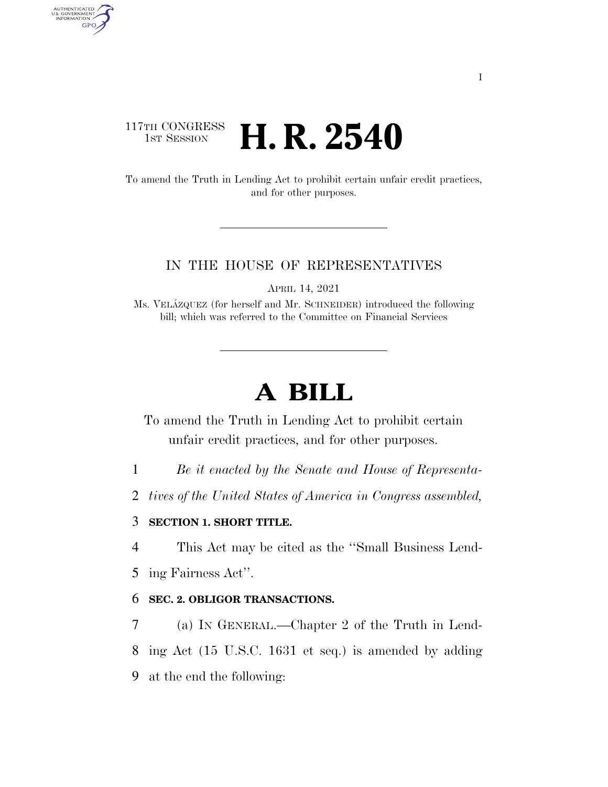# 117TH CONGRESS **1st Session H. R. 2540**

AUTHENTICATED<br>U.S. GOVERNMENT<br>INFORMATION GPO

> To amend the Truth in Lending Act to prohibit certain unfair credit practices, and for other purposes.

### IN THE HOUSE OF REPRESENTATIVES

APRIL 14, 2021

Ms. VELA´ZQUEZ (for herself and Mr. SCHNEIDER) introduced the following bill; which was referred to the Committee on Financial Services

# **A BILL**

To amend the Truth in Lending Act to prohibit certain unfair credit practices, and for other purposes.

1 *Be it enacted by the Senate and House of Representa-*

2 *tives of the United States of America in Congress assembled,* 

## 3 **SECTION 1. SHORT TITLE.**

4 This Act may be cited as the ''Small Business Lend-

5 ing Fairness Act''.

### 6 **SEC. 2. OBLIGOR TRANSACTIONS.**

7 (a) IN GENERAL.—Chapter 2 of the Truth in Lend-8 ing Act (15 U.S.C. 1631 et seq.) is amended by adding 9 at the end the following: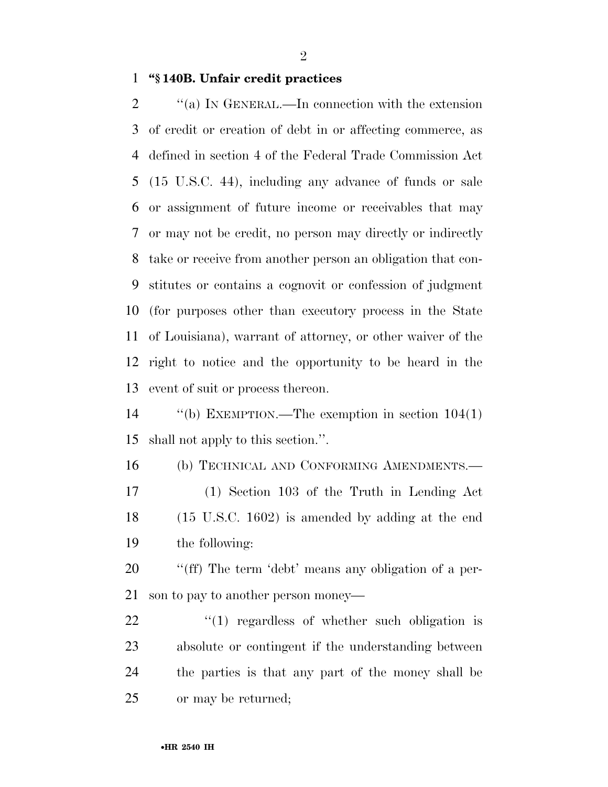**''§ 140B. Unfair credit practices** 

 $\gamma$  (a) In GENERAL.—In connection with the extension of credit or creation of debt in or affecting commerce, as defined in section 4 of the Federal Trade Commission Act (15 U.S.C. 44), including any advance of funds or sale or assignment of future income or receivables that may or may not be credit, no person may directly or indirectly take or receive from another person an obligation that con- stitutes or contains a cognovit or confession of judgment (for purposes other than executory process in the State of Louisiana), warrant of attorney, or other waiver of the right to notice and the opportunity to be heard in the event of suit or process thereon.

 ''(b) EXEMPTION.—The exemption in section 104(1) shall not apply to this section.''.

 (b) TECHNICAL AND CONFORMING AMENDMENTS.— (1) Section 103 of the Truth in Lending Act (15 U.S.C. 1602) is amended by adding at the end the following:

 ''(ff) The term 'debt' means any obligation of a per-son to pay to another person money—

22 "(1) regardless of whether such obligation is absolute or contingent if the understanding between the parties is that any part of the money shall be or may be returned;